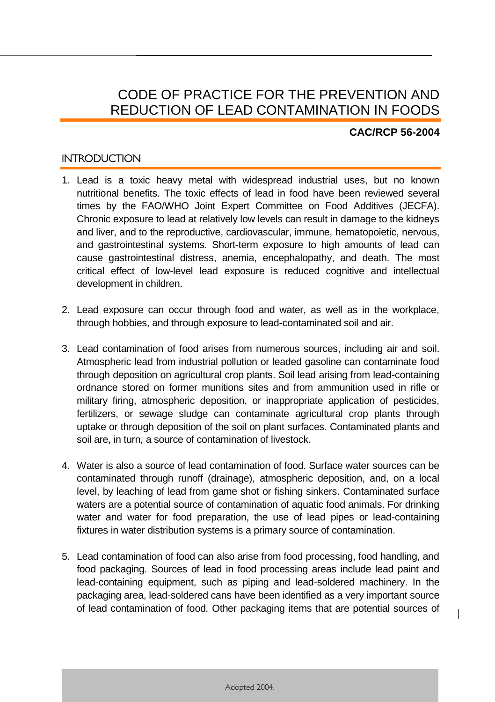# CODE OF PRACTICE FOR THE PREVENTION AND REDUCTION OF LEAD CONTAMINATION IN FOODS

#### **CAC/RCP 56-2004**

1

## **INTRODUCTION**

- 1. Lead is a toxic heavy metal with widespread industrial uses, but no known nutritional benefits. The toxic effects of lead in food have been reviewed several times by the FAO/WHO Joint Expert Committee on Food Additives (JECFA). Chronic exposure to lead at relatively low levels can result in damage to the kidneys and liver, and to the reproductive, cardiovascular, immune, hematopoietic, nervous, and gastrointestinal systems. Short-term exposure to high amounts of lead can cause gastrointestinal distress, anemia, encephalopathy, and death. The most critical effect of low-level lead exposure is reduced cognitive and intellectual development in children.
- 2. Lead exposure can occur through food and water, as well as in the workplace, through hobbies, and through exposure to lead-contaminated soil and air.
- 3. Lead contamination of food arises from numerous sources, including air and soil. Atmospheric lead from industrial pollution or leaded gasoline can contaminate food through deposition on agricultural crop plants. Soil lead arising from lead-containing ordnance stored on former munitions sites and from ammunition used in rifle or military firing, atmospheric deposition, or inappropriate application of pesticides, fertilizers, or sewage sludge can contaminate agricultural crop plants through uptake or through deposition of the soil on plant surfaces. Contaminated plants and soil are, in turn, a source of contamination of livestock.
- 4. Water is also a source of lead contamination of food. Surface water sources can be contaminated through runoff (drainage), atmospheric deposition, and, on a local level, by leaching of lead from game shot or fishing sinkers. Contaminated surface waters are a potential source of contamination of aquatic food animals. For drinking water and water for food preparation, the use of lead pipes or lead-containing fixtures in water distribution systems is a primary source of contamination.
- 5. Lead contamination of food can also arise from food processing, food handling, and food packaging. Sources of lead in food processing areas include lead paint and lead-containing equipment, such as piping and lead-soldered machinery. In the packaging area, lead-soldered cans have been identified as a very important source of lead contamination of food. Other packaging items that are potential sources of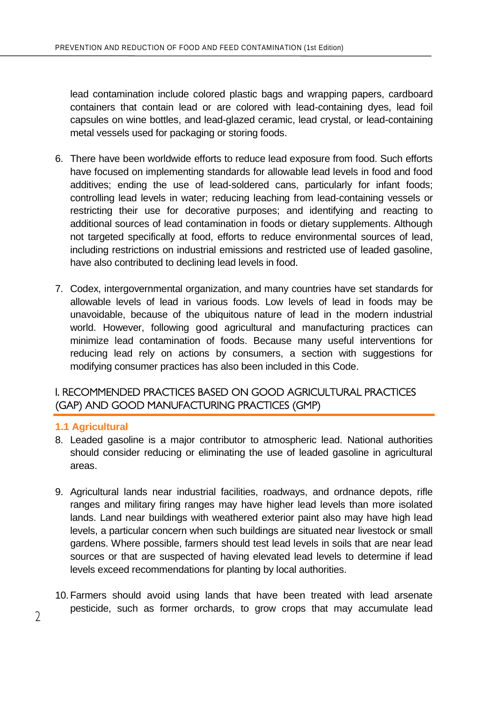lead contamination include colored plastic bags and wrapping papers, cardboard containers that contain lead or are colored with lead-containing dyes, lead foil capsules on wine bottles, and lead-glazed ceramic, lead crystal, or lead-containing metal vessels used for packaging or storing foods.

- 6. There have been worldwide efforts to reduce lead exposure from food. Such efforts have focused on implementing standards for allowable lead levels in food and food additives; ending the use of lead-soldered cans, particularly for infant foods; controlling lead levels in water; reducing leaching from lead-containing vessels or restricting their use for decorative purposes; and identifying and reacting to additional sources of lead contamination in foods or dietary supplements. Although not targeted specifically at food, efforts to reduce environmental sources of lead, including restrictions on industrial emissions and restricted use of leaded gasoline, have also contributed to declining lead levels in food.
- 7. Codex, intergovernmental organization, and many countries have set standards for allowable levels of lead in various foods. Low levels of lead in foods may be unavoidable, because of the ubiquitous nature of lead in the modern industrial world. However, following good agricultural and manufacturing practices can minimize lead contamination of foods. Because many useful interventions for reducing lead rely on actions by consumers, a section with suggestions for modifying consumer practices has also been included in this Code.

# I. RECOMMENDED PRACTICES BASED ON GOOD AGRICULTURAL PRACTICES (GAP) AND GOOD MANUFACTURING PRACTICES (GMP)

#### **1.1 Agricultural**

- 8. Leaded gasoline is a major contributor to atmospheric lead. National authorities should consider reducing or eliminating the use of leaded gasoline in agricultural areas.
- 9. Agricultural lands near industrial facilities, roadways, and ordnance depots, rifle ranges and military firing ranges may have higher lead levels than more isolated lands. Land near buildings with weathered exterior paint also may have high lead levels, a particular concern when such buildings are situated near livestock or small gardens. Where possible, farmers should test lead levels in soils that are near lead sources or that are suspected of having elevated lead levels to determine if lead levels exceed recommendations for planting by local authorities.
- 10.Farmers should avoid using lands that have been treated with lead arsenate pesticide, such as former orchards, to grow crops that may accumulate lead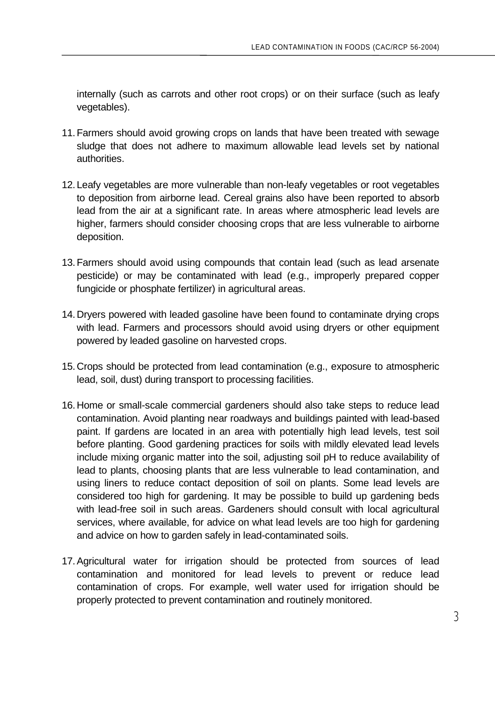internally (such as carrots and other root crops) or on their surface (such as leafy vegetables).

- 11.Farmers should avoid growing crops on lands that have been treated with sewage sludge that does not adhere to maximum allowable lead levels set by national authorities.
- 12. Leafy vegetables are more vulnerable than non-leafy vegetables or root vegetables to deposition from airborne lead. Cereal grains also have been reported to absorb lead from the air at a significant rate. In areas where atmospheric lead levels are higher, farmers should consider choosing crops that are less vulnerable to airborne deposition.
- 13.Farmers should avoid using compounds that contain lead (such as lead arsenate pesticide) or may be contaminated with lead (e.g., improperly prepared copper fungicide or phosphate fertilizer) in agricultural areas.
- 14. Dryers powered with leaded gasoline have been found to contaminate drying crops with lead. Farmers and processors should avoid using dryers or other equipment powered by leaded gasoline on harvested crops.
- 15. Crops should be protected from lead contamination (e.g., exposure to atmospheric lead, soil, dust) during transport to processing facilities.
- 16. Home or small-scale commercial gardeners should also take steps to reduce lead contamination. Avoid planting near roadways and buildings painted with lead-based paint. If gardens are located in an area with potentially high lead levels, test soil before planting. Good gardening practices for soils with mildly elevated lead levels include mixing organic matter into the soil, adjusting soil pH to reduce availability of lead to plants, choosing plants that are less vulnerable to lead contamination, and using liners to reduce contact deposition of soil on plants. Some lead levels are considered too high for gardening. It may be possible to build up gardening beds with lead-free soil in such areas. Gardeners should consult with local agricultural services, where available, for advice on what lead levels are too high for gardening and advice on how to garden safely in lead-contaminated soils.
- 17.Agricultural water for irrigation should be protected from sources of lead contamination and monitored for lead levels to prevent or reduce lead contamination of crops. For example, well water used for irrigation should be properly protected to prevent contamination and routinely monitored.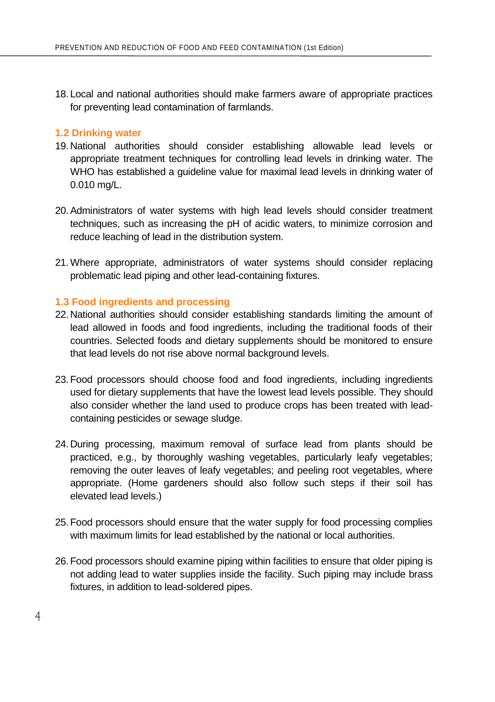18. Local and national authorities should make farmers aware of appropriate practices for preventing lead contamination of farmlands.

#### **1.2 Drinking water**

- 19. National authorities should consider establishing allowable lead levels or appropriate treatment techniques for controlling lead levels in drinking water. The WHO has established a quideline value for maximal lead levels in drinking water of 0.010 mg/L.
- 20.Administrators of water systems with high lead levels should consider treatment techniques, such as increasing the pH of acidic waters, to minimize corrosion and reduce leaching of lead in the distribution system.
- 21.Where appropriate, administrators of water systems should consider replacing problematic lead piping and other lead-containing fixtures.

#### **1.3 Food ingredients and processing**

- 22. National authorities should consider establishing standards limiting the amount of lead allowed in foods and food ingredients, including the traditional foods of their countries. Selected foods and dietary supplements should be monitored to ensure that lead levels do not rise above normal background levels.
- 23.Food processors should choose food and food ingredients, including ingredients used for dietary supplements that have the lowest lead levels possible. They should also consider whether the land used to produce crops has been treated with leadcontaining pesticides or sewage sludge.
- 24. During processing, maximum removal of surface lead from plants should be practiced, e.g., by thoroughly washing vegetables, particularly leafy vegetables; removing the outer leaves of leafy vegetables; and peeling root vegetables, where appropriate. (Home gardeners should also follow such steps if their soil has elevated lead levels.)
- 25.Food processors should ensure that the water supply for food processing complies with maximum limits for lead established by the national or local authorities.
- 26.Food processors should examine piping within facilities to ensure that older piping is not adding lead to water supplies inside the facility. Such piping may include brass fixtures, in addition to lead-soldered pipes.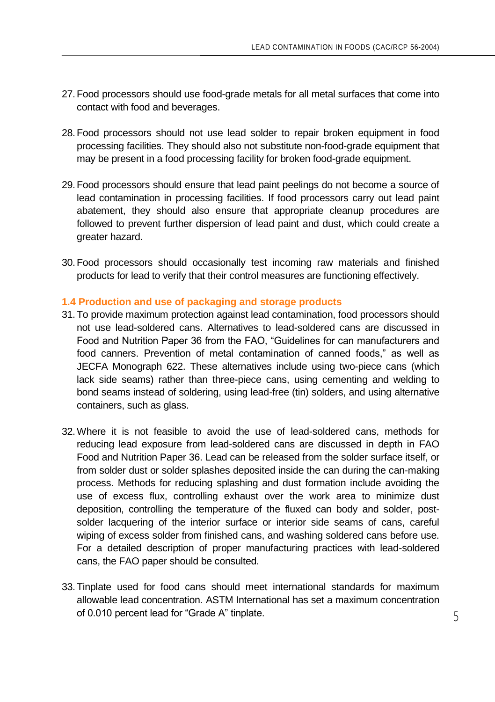- 27.Food processors should use food-grade metals for all metal surfaces that come into contact with food and beverages.
- 28.Food processors should not use lead solder to repair broken equipment in food processing facilities. They should also not substitute non-food-grade equipment that may be present in a food processing facility for broken food-grade equipment.
- 29.Food processors should ensure that lead paint peelings do not become a source of lead contamination in processing facilities. If food processors carry out lead paint abatement, they should also ensure that appropriate cleanup procedures are followed to prevent further dispersion of lead paint and dust, which could create a greater hazard.
- 30.Food processors should occasionally test incoming raw materials and finished products for lead to verify that their control measures are functioning effectively.

#### **1.4 Production and use of packaging and storage products**

- 31.To provide maximum protection against lead contamination, food processors should not use lead-soldered cans. Alternatives to lead-soldered cans are discussed in Food and Nutrition Paper 36 from the FAO, "Guidelines for can manufacturers and food canners. Prevention of metal contamination of canned foods," as well as JECFA Monograph 622. These alternatives include using two-piece cans (which lack side seams) rather than three-piece cans, using cementing and welding to bond seams instead of soldering, using lead-free (tin) solders, and using alternative containers, such as glass.
- 32.Where it is not feasible to avoid the use of lead-soldered cans, methods for reducing lead exposure from lead-soldered cans are discussed in depth in FAO Food and Nutrition Paper 36. Lead can be released from the solder surface itself, or from solder dust or solder splashes deposited inside the can during the can-making process. Methods for reducing splashing and dust formation include avoiding the use of excess flux, controlling exhaust over the work area to minimize dust deposition, controlling the temperature of the fluxed can body and solder, postsolder lacquering of the interior surface or interior side seams of cans, careful wiping of excess solder from finished cans, and washing soldered cans before use. For a detailed description of proper manufacturing practices with lead-soldered cans, the FAO paper should be consulted.
- 33.Tinplate used for food cans should meet international standards for maximum allowable lead concentration. ASTM International has set a maximum concentration of 0.010 percent lead for "Grade A" tinplate.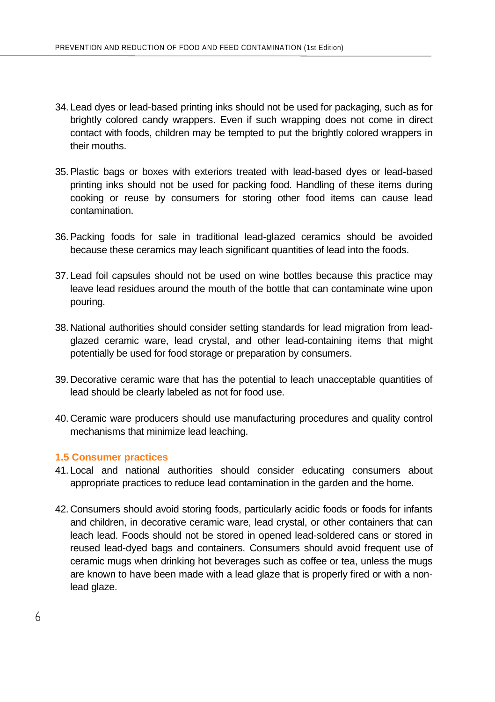- 34. Lead dyes or lead-based printing inks should not be used for packaging, such as for brightly colored candy wrappers. Even if such wrapping does not come in direct contact with foods, children may be tempted to put the brightly colored wrappers in their mouths.
- 35.Plastic bags or boxes with exteriors treated with lead-based dyes or lead-based printing inks should not be used for packing food. Handling of these items during cooking or reuse by consumers for storing other food items can cause lead contamination.
- 36.Packing foods for sale in traditional lead-glazed ceramics should be avoided because these ceramics may leach significant quantities of lead into the foods.
- 37. Lead foil capsules should not be used on wine bottles because this practice may leave lead residues around the mouth of the bottle that can contaminate wine upon pouring.
- 38. National authorities should consider setting standards for lead migration from leadglazed ceramic ware, lead crystal, and other lead-containing items that might potentially be used for food storage or preparation by consumers.
- 39. Decorative ceramic ware that has the potential to leach unacceptable quantities of lead should be clearly labeled as not for food use.
- 40. Ceramic ware producers should use manufacturing procedures and quality control mechanisms that minimize lead leaching.

#### **1.5 Consumer practices**

- 41. Local and national authorities should consider educating consumers about appropriate practices to reduce lead contamination in the garden and the home.
- 42. Consumers should avoid storing foods, particularly acidic foods or foods for infants and children, in decorative ceramic ware, lead crystal, or other containers that can leach lead. Foods should not be stored in opened lead-soldered cans or stored in reused lead-dyed bags and containers. Consumers should avoid frequent use of ceramic mugs when drinking hot beverages such as coffee or tea, unless the mugs are known to have been made with a lead glaze that is properly fired or with a nonlead glaze.